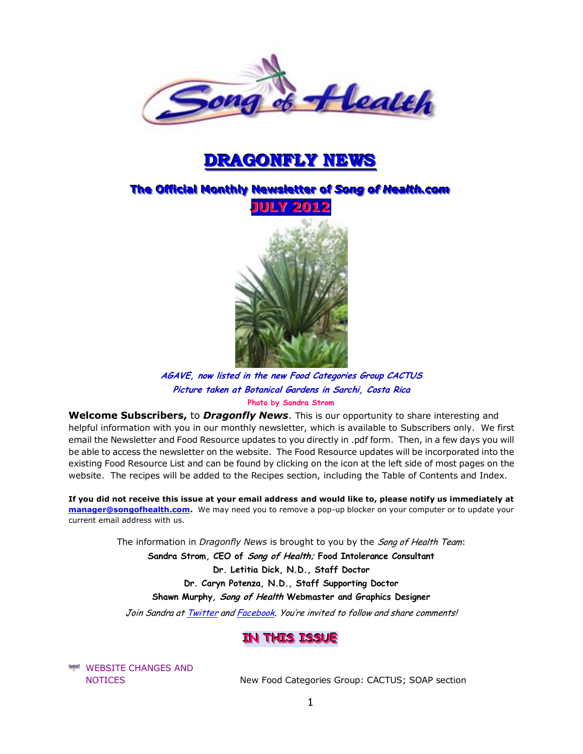

# **DRAGONFLY NEWS**

# $\overline{\text{The Official Monthly} }$  Newsletter of Song of Health.com



**AGAVE, now listed in the new Food Categories Group CACTUS Picture taken at Botanical Gardens in Sarchi, Costa Rica Photo by Sandra Strom** 

**Welcome Subscribers,** to *Dragonfly News*. This is our opportunity to share interesting and helpful information with you in our monthly newsletter, which is available to Subscribers only. We first email the Newsletter and Food Resource updates to you directly in .pdf form. Then, in a few days you will be able to access the newsletter on the website. The Food Resource updates will be incorporated into the existing Food Resource List and can be found by clicking on the icon at the left side of most pages on the website. The recipes will be added to the Recipes section, including the Table of Contents and Index.

**If you did not receive this issue at your email address and would like to, please notify us immediately at [manager@songofhealth.com.](mailto:manager@songofhealth.com)** We may need you to remove a pop-up blocker on your computer or to update your current email address with us.

The information in *Dragonfly News* is brought to you by the Song of Health Team:

**Sandra Strom, CEO of Song of Health; Food Intolerance Consultant** 

**Dr. Letitia Dick, N.D., Staff Doctor** 

**Dr. Caryn Potenza, N.D., Staff Supporting Doctor** 

**Shawn Murphy, Song of Health Webmaster and Graphics Designer** 

Join Sandra a[t Twitter](https://twitter.com/songofhealth) an[d Facebook](http://facebook.com/home.php?ref=home#/home.php?filter=pp). You're invited to follow and share comments!

### **IN THIS ISSUE**

WEBSITE CHANGES AND

NOTICES New Food Categories Group: CACTUS; SOAP section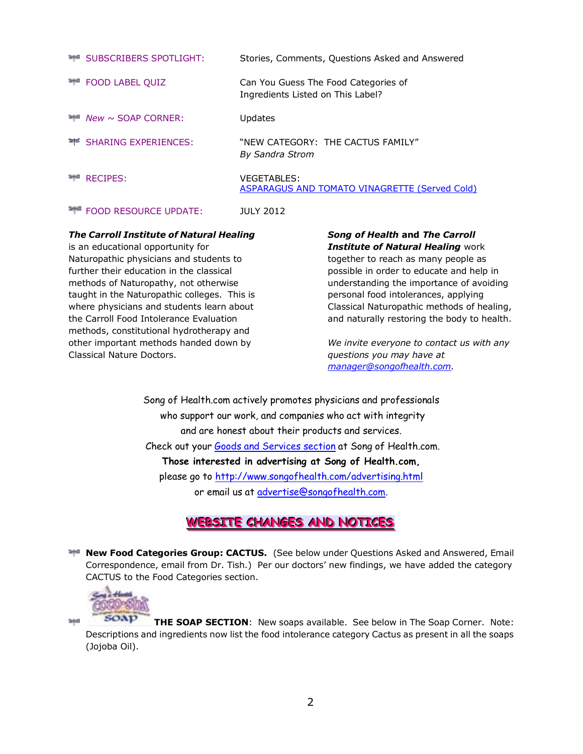| SUBSCRIBERS SPOTLIGHT:<br>국수의                        | Stories, Comments, Questions Asked and Answered                           |
|------------------------------------------------------|---------------------------------------------------------------------------|
| <b>FOOD LABEL QUIZ</b><br>295                        | Can You Guess The Food Categories of<br>Ingredients Listed on This Label? |
| $\blacktriangleright$ <i>New</i> $\sim$ SOAP CORNER: | <b>Updates</b>                                                            |
| SHARING EXPERIENCES:                                 | "NEW CATEGORY: THE CACTUS FAMILY"<br><b>By Sandra Strom</b>               |
| <b>RECIPES:</b>                                      | <b>VEGETABLES:</b><br>ASPARAGUS AND TOMATO VINAGRETTE (Served Cold)       |
| <b>THE FOOD RESOURCE UPDATE:</b>                     | <b>JULY 2012</b>                                                          |

#### *The Carroll Institute of Natural Healing*

is an educational opportunity for Naturopathic physicians and students to further their education in the classical methods of Naturopathy, not otherwise taught in the Naturopathic colleges. This is where physicians and students learn about the Carroll Food Intolerance Evaluation methods, constitutional hydrotherapy and other important methods handed down by Classical Nature Doctors.

#### *Song of Health* **and** *The Carroll Institute of Natural Healing* work

together to reach as many people as possible in order to educate and help in understanding the importance of avoiding personal food intolerances, applying Classical Naturopathic methods of healing, and naturally restoring the body to health.

*We invite everyone to contact us with any questions you may have at [manager@songofhealth.com.](mailto:manager@songofhealth.com)* 

Song of Health.com actively promotes physicians and professionals who support our work, and companies who act with integrity and are honest about their products and services. Check out your [Goods and Services section](http://www.songofhealth.com/goods.html) at Song of Health.com. **Those interested in advertising at Song of Health.com,**  please go to<http://www.songofhealth.com/advertising.html> or email us at [advertise@songofhealth.com.](mailto:advertise@songofhealth.com)

# **WEBSITE CHANGES AND NOTICES**

**New Food Categories Group: CACTUS.** (See below under Questions Asked and Answered, Email Correspondence, email from Dr. Tish.) Per our doctors' new findings, we have added the category CACTUS to the Food Categories section.



344

**THE SOAP SECTION**: New soaps available. See below in The Soap Corner. Note: Descriptions and ingredients now list the food intolerance category Cactus as present in all the soaps (Jojoba Oil).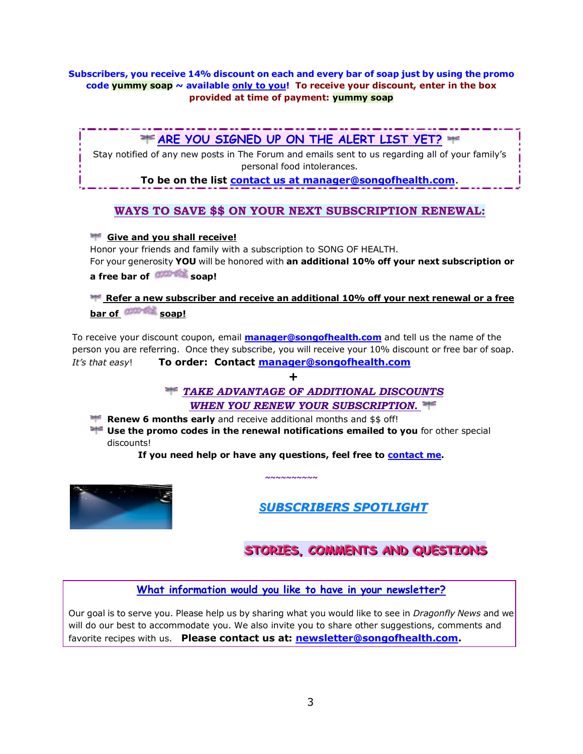#### **Subscribers, you receive 14% discount on each and every bar of soap just by using the promo code yummy soap ~ available only to you! To receive your discount, enter in the box provided at time of payment: yummy soap**

# **ARE YOU SIGNED UP ON THE ALERT LIST YET?**

Stay notified of any new posts in The Forum and emails sent to us regarding all of your family's personal food intolerances.

**To be on the list [contact us at manager@songofhealth.com](mailto:contact%20us%20at%20manager@songofhealth.com)**.

# **WAYS TO SAVE \$\$ ON YOUR NEXT SUBSCRIPTION RENEWAL:**

#### **Give and you shall receive!**

Honor your friends and family with a subscription to SONG OF HEALTH. For your generosity **YOU** will be honored with **an additional 10% off your next subscription or** 

**a free bar of <b>difficient** soap!

**Refer a new subscriber and receive an additional 10% off your next renewal or a free** bar of **COUNT** soap!

To receive your discount coupon, email **[manager@songofhealth.com](mailto:manager@songofhealth.com)** and tell us the name of the person you are referring. Once they subscribe, you will receive your 10% discount or free bar of soap. *It's that easy*! **To order: Contact [manager@songofhealth.com](mailto:manager@songofhealth.com)**

**+**

*TAKE ADVANTAGE OF ADDITIONAL DISCOUNTS WHEN YOU RENEW YOUR SUBSCRIPTION.*

**Renew 6 months early** and receive additional months and \$\$ off!

**H** Use the promo codes in the renewal notifications emailed to you for other special discounts!

**If you need help or have any questions, feel free to [contact me.](mailto:manager@songofhealth.com?subject=contact%20us)** 

**~~~~~~~~~~**



*SUBSCRIBERS SPOTLIGHT*

# STORIES, COMMENTS AND QUESTIONS

**What information would you like to have in your newsletter?**

Our goal is to serve you. Please help us by sharing what you would like to see in *Dragonfly News* and we will do our best to accommodate you. We also invite you to share other suggestions, comments and favorite recipes with us. **Please contact us at: [newsletter@songofhealth.com.](mailto:newsletter@songofhealth.com)**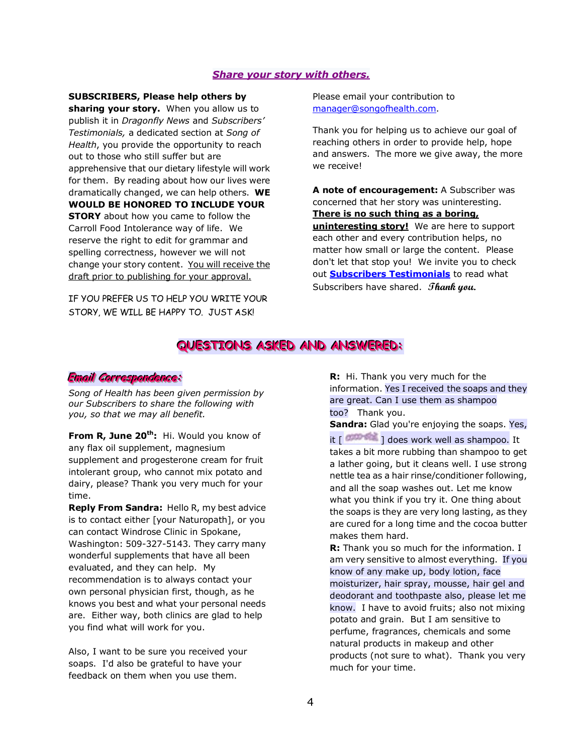#### *Share your story with others.*

#### **SUBSCRIBERS, Please help others by**

**sharing your story.** When you allow us to publish it in *Dragonfly News* and *Subscribers' Testimonials,* a dedicated section at *Song of Health*, you provide the opportunity to reach out to those who still suffer but are apprehensive that our dietary lifestyle will work for them. By reading about how our lives were dramatically changed, we can help others. **WE WOULD BE HONORED TO INCLUDE YOUR STORY** about how you came to follow the Carroll Food Intolerance way of life. We reserve the right to edit for grammar and spelling correctness, however we will not change your story content. You will receive the draft prior to publishing for your approval.

IF YOU PREFER US TO HELP YOU WRITE YOUR STORY, WE WILL BE HAPPY TO. JUST ASK!

Please email your contribution to manager@songofhealth.com.

Thank you for helping us to achieve our goal of reaching others in order to provide help, hope and answers. The more we give away, the more we receive!

**A note of encouragement:** A Subscriber was concerned that her story was uninteresting. **There is no such thing as a boring, uninteresting story!** We are here to support each other and every contribution helps, no matter how small or large the content. Please don't let that stop you! We invite you to check out **[Subscribers Testimonials](http://www.songofhealth.com/testimonials.html)** to read what Subscribers have shared. **Thank you.**

# **QUESTIONS ASKED AND ANSWERED:**

#### $E$ mail *Co*rrespondence:

*Song of Health has been given permission by our Subscribers to share the following with you, so that we may all benefit.*

**From R, June 20th:** Hi. Would you know of any flax oil supplement, magnesium supplement and progesterone cream for fruit intolerant group, who cannot mix potato and dairy, please? Thank you very much for your time.

**Reply From Sandra:** Hello R, my best advice is to contact either [your Naturopath], or you can contact Windrose Clinic in Spokane, Washington: 509-327-5143. They carry many wonderful supplements that have all been evaluated, and they can help. My recommendation is to always contact your own personal physician first, though, as he knows you best and what your personal needs are. Either way, both clinics are glad to help you find what will work for you.

Also, I want to be sure you received your soaps. I'd also be grateful to have your feedback on them when you use them.

**R:** Hi. Thank you very much for the information. Yes I received the soaps and they are great. Can I use them as shampoo too? Thank you.

**Sandra:** Glad you're enjoying the soaps. Yes,

it  $\lceil$   $\frac{1}{2}$  does work well as shampoo. It takes a bit more rubbing than shampoo to get a lather going, but it cleans well. I use strong nettle tea as a hair rinse/conditioner following, and all the soap washes out. Let me know what you think if you try it. One thing about the soaps is they are very long lasting, as they are cured for a long time and the cocoa butter makes them hard.

**R:** Thank you so much for the information. I am very sensitive to almost everything. If you know of any make up, body lotion, face moisturizer, hair spray, mousse, hair gel and deodorant and toothpaste also, please let me know. I have to avoid fruits; also not mixing potato and grain. But I am sensitive to perfume, fragrances, chemicals and some natural products in makeup and other products (not sure to what). Thank you very much for your time.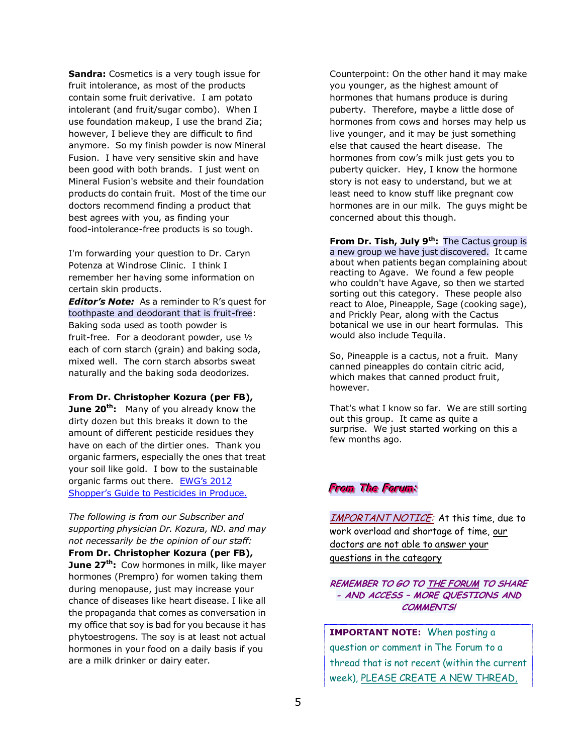**Sandra:** Cosmetics is a very tough issue for fruit intolerance, as most of the products contain some fruit derivative. I am potato intolerant (and fruit/sugar combo). When I use foundation makeup, I use the brand Zia; however, I believe they are difficult to find anymore. So my finish powder is now Mineral Fusion. I have very sensitive skin and have been good with both brands. I just went on Mineral Fusion's website and their foundation products do contain fruit. Most of the time our doctors recommend finding a product that best agrees with you, as finding your food-intolerance-free products is so tough.

I'm forwarding your question to Dr. Caryn Potenza at Windrose Clinic. I think I remember her having some information on certain skin products.

*Editor's Note:* As a reminder to R's quest for toothpaste and deodorant that is fruit-free: Baking soda used as tooth powder is fruit-free. For a deodorant powder, use ½ each of corn starch (grain) and baking soda, mixed well. The corn starch absorbs sweat naturally and the baking soda deodorizes.

**From Dr. Christopher Kozura (per FB),** 

**June 20th:** Many of you already know the dirty dozen but this breaks it down to the amount of different pesticide residues they have on each of the dirtier ones. Thank you organic farmers, especially the ones that treat your soil like gold. I bow to the sustainable organic farms out there. EWG's 2012 [Shopper's Guide to Pesticides in Produce.](http://www.ewg.org/foodnews/)

*The following is from our Subscriber and supporting physician Dr. Kozura, ND. and may not necessarily be the opinion of our staff:*  **From Dr. Christopher Kozura (per FB), June 27th:** Cow hormones in milk, like mayer hormones (Prempro) for women taking them during menopause, just may increase your chance of diseases like heart disease. I like all the propaganda that comes as conversation in my office that soy is bad for you because it has phytoestrogens. The soy is at least not actual hormones in your food on a daily basis if you are a milk drinker or dairy eater.

Counterpoint: On the other hand it may make you younger, as the highest amount of hormones that humans produce is during puberty. Therefore, maybe a little dose of hormones from cows and horses may help us live younger, and it may be just something else that caused the heart disease. The hormones from cow's milk just gets you to puberty quicker. Hey, I know the hormone story is not easy to understand, but we at least need to know stuff like pregnant cow hormones are in our milk. The guys might be concerned about this though.

**From Dr. Tish, July 9th:** The Cactus group is a new group we have just discovered. It came about when patients began complaining about reacting to Agave. We found a few people who couldn't have Agave, so then we started sorting out this category. These people also react to Aloe, Pineapple, Sage (cooking sage), and Prickly Pear, along with the Cactus botanical we use in our heart formulas. This would also include Tequila.

So, Pineapple is a cactus, not a fruit. Many canned pineapples do contain citric acid, which makes that canned product fruit, however.

That's what I know so far. We are still sorting out this group. It came as quite a surprise. We just started working on this a few months ago.

#### **From The Forum:**

IMPORTANT NOTICE: At this time, due to work overload and shortage of time, our doctors are not able to answer your questions in the category

**REMEMBER TO GO T[O THE FORUM](http://www.songofhealth.com/subscribers/forumintro.html) TO SHARE - AND ACCESS – MORE QUESTIONS AND COMMENTS!** 

**IMPORTANT NOTE:** When posting a question or comment in The Forum to a thread that is not recent (within the current week), PLEASE CREATE A NEW THREAD,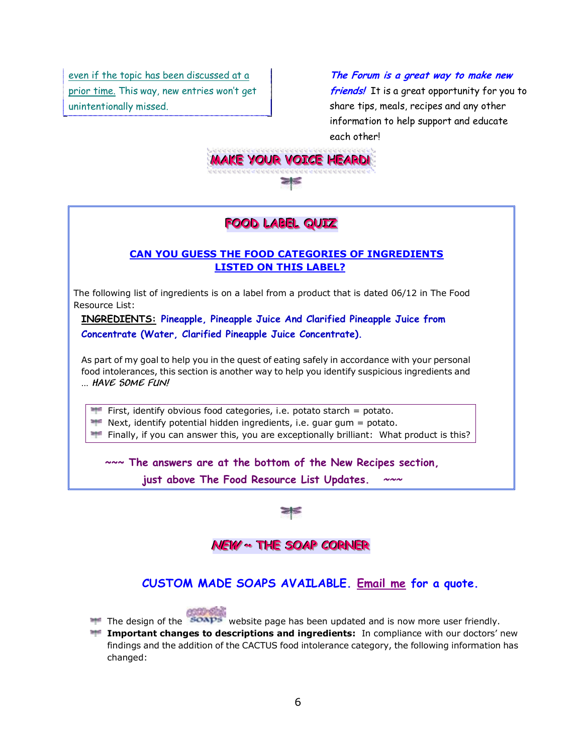even if the topic has been discussed at a prior time. This way, new entries won't get unintentionally missed.

**The Forum is a great way to make new friends!** It is a great opportunity for you to share tips, meals, recipes and any other information to help support and educate each other!



# FOOD LABEL QUIZ

#### **CAN YOU GUESS THE FOOD CATEGORIES OF INGREDIENTS LISTED ON THIS LABEL?**

The following list of ingredients is on a label from a product that is dated 06/12 in The Food Resource List:

**INGREDIENTS: Pineapple, Pineapple Juice And Clarified Pineapple Juice from Concentrate (Water, Clarified Pineapple Juice Concentrate).**

As part of my goal to help you in the quest of eating safely in accordance with your personal food intolerances, this section is another way to help you identify suspicious ingredients and … **HAVE SOME FUN!**

First, identify obvious food categories, i.e. potato starch  $=$  potato.

 $\blacksquare$  Next, identify potential hidden ingredients, i.e. guar gum = potato.

Finally, if you can answer this, you are exceptionally brilliant: What product is this?

**~~~ The answers are at the bottom of the New Recipes section,** 

**just above The Food Resource List Updates. ~~~**



# **NEW ~~ THE SOAP CORNER**

# **CUSTOM MADE SOAPS AVAILABLE. [Email me](mailto:manager@songofhealth.com) for a quote.**



The design of the **soaps** website page has been updated and is now more user friendly.

**Important changes to descriptions and ingredients:** In compliance with our doctors' new findings and the addition of the CACTUS food intolerance category, the following information has changed: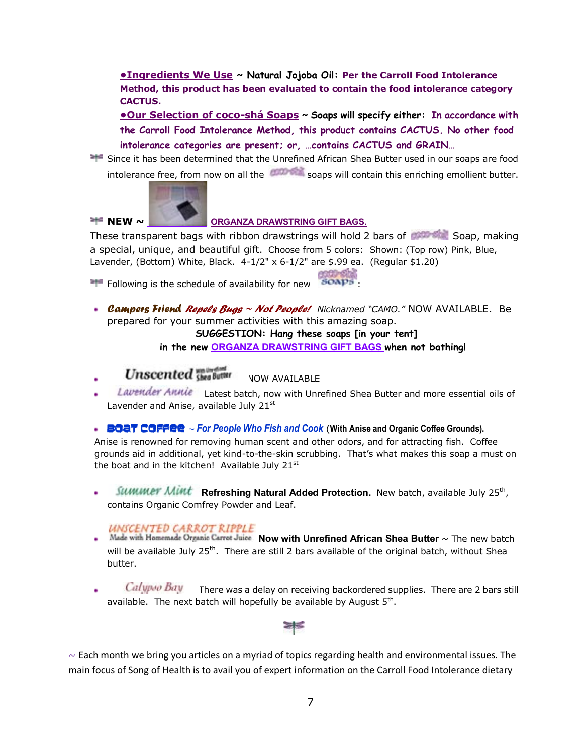**[•Ingredients We Use](http://www.songofhealth.com/soap.html#ingredients) ~ Natural Jojoba Oil: Per the Carroll Food Intolerance Method, this product has been evaluated to contain the food intolerance category CACTUS.** 

**[•Our Selection of coco](http://www.songofhealth.com/subscribers/soap.html#soaps)-shá Soa[ps](http://www.songofhealth.com/subscribers/soap.html#soaps) ~ Soaps will specify either: In accordance with the Carroll Food Intolerance Method, this product contains CACTUS. No other food intolerance categories are present; or, …contains CACTUS and GRAIN…**

Since it has been determined that the Unrefined African Shea Butter used in our soaps are food intolerance free, from now on all the **starting soaps will contain this enriching emollient butter.** 



#### **NEW ~ CREW [ORGANZA DRAWSTRING GIFT BAGS.](file:///C:/Documents%20and%20Settings/Sandy%20Strom/My%20Documents/SONG%20OF%20HEALTH/NEWSLETTERS/ORGANZA%20DRAWSTRING%20GIFT%20BAGS)**

These transparent bags with ribbon drawstrings will hold 2 bars of COUS Soap, making a special, unique, and beautiful gift. Choose from 5 colors: Shown: (Top row) Pink, Blue, Lavender, (Bottom) White, Black. 4-1/2" x 6-1/2" are \$.99 ea. (Regular \$1.20)

Following is the schedule of availability for new soaps

*Campers Friend Repels Bugs ~ Not People! Nicknamed "CAMO."* NOW AVAILABLE. Be prepared for your summer activities with this amazing soap.

#### **SUGGESTION: Hang these soaps [in your tent]**

**in the new ORGANZA DRAWSTRING GIFT BAGS when not bathing!** 

# **Unscented** the Butter

- NOW AVAILABLE
- Lavender Annie Latest batch, now with Unrefined Shea Butter and more essential oils of Lavender and Anise, available July 21<sup>st</sup>

BOAT COFFEE **~** *For People Who Fish and Cook* (**With Anise and Organic Coffee Grounds).** 

Anise is renowned for removing human scent and other odors, and for attracting fish. Coffee grounds aid in additional, yet kind-to-the-skin scrubbing. That's what makes this soap a must on the boat and in the kitchen! Available July  $21^{st}$ 

*SUMMET MINT* Refreshing Natural Added Protection. New batch, available July 25<sup>th</sup>, contains Organic Comfrey Powder and Leaf.

#### UNSCENTED CARROT RIPPLE

- **•** Made with Homemade Organic Carret Juice **Now with Unrefined African Shea Butter**  $\sim$  The new batch will be available July  $25<sup>th</sup>$ . There are still 2 bars available of the original batch, without Shea butter.
- Calypso Bay There was a delay on receiving backordered supplies. There are 2 bars still available. The next batch will hopefully be available by August  $5<sup>th</sup>$ .



 $\sim$  Each month we bring you articles on a myriad of topics regarding health and environmental issues. The main focus of Song of Health is to avail you of expert information on the Carroll Food Intolerance dietary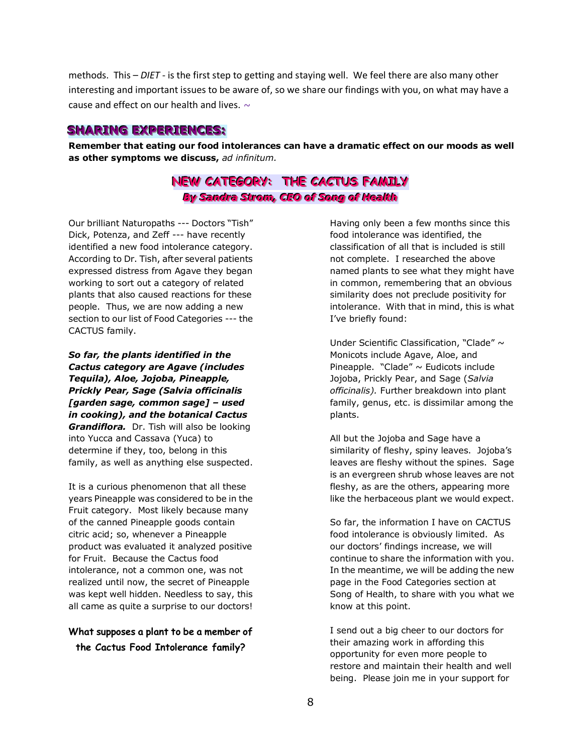methods. This – *DIET* - is the first step to getting and staying well. We feel there are also many other interesting and important issues to be aware of, so we share our findings with you, on what may have a cause and effect on our health and lives.  $\sim$ 

#### **SHARING EXPERIENCES:**

**Remember that eating our food intolerances can have a dramatic effect on our moods as well as other symptoms we discuss,** *ad infinitum.*

# **NEW CATEGORY: THE CACTUS FAMILY** *By Sandra Strom, CEO of Song of Health*

Our brilliant Naturopaths --- Doctors "Tish" Dick, Potenza, and Zeff --- have recently identified a new food intolerance category. According to Dr. Tish, after several patients expressed distress from Agave they began working to sort out a category of related plants that also caused reactions for these people. Thus, we are now adding a new section to our list of Food Categories --- the CACTUS family.

*So far, the plants identified in the Cactus category are Agave (includes Tequila), Aloe, Jojoba, Pineapple, Prickly Pear, Sage (Salvia officinalis [garden sage, common sage] – used in cooking), and the botanical Cactus Grandiflora.* Dr. Tish will also be looking into Yucca and Cassava (Yuca) to determine if they, too, belong in this family, as well as anything else suspected.

It is a curious phenomenon that all these years Pineapple was considered to be in the Fruit category. Most likely because many of the canned Pineapple goods contain citric acid; so, whenever a Pineapple product was evaluated it analyzed positive for Fruit. Because the Cactus food intolerance, not a common one, was not realized until now, the secret of Pineapple was kept well hidden. Needless to say, this all came as quite a surprise to our doctors!

#### **What supposes a plant to be a member of the Cactus Food Intolerance family?**

Having only been a few months since this food intolerance was identified, the classification of all that is included is still not complete. I researched the above named plants to see what they might have in common, remembering that an obvious similarity does not preclude positivity for intolerance. With that in mind, this is what I've briefly found:

Under Scientific Classification, "Clade"  $\sim$ Monicots include Agave, Aloe, and Pineapple. "Clade"  $\sim$  Eudicots include Jojoba, Prickly Pear, and Sage (*Salvia officinalis).* Further breakdown into plant family, genus, etc. is dissimilar among the plants.

All but the Jojoba and Sage have a similarity of fleshy, spiny leaves. Jojoba's leaves are fleshy without the spines. Sage is an evergreen shrub whose leaves are not fleshy, as are the others, appearing more like the herbaceous plant we would expect.

So far, the information I have on CACTUS food intolerance is obviously limited. As our doctors' findings increase, we will continue to share the information with you. In the meantime, we will be adding the new page in the Food Categories section at Song of Health, to share with you what we know at this point.

I send out a big cheer to our doctors for their amazing work in affording this opportunity for even more people to restore and maintain their health and well being. Please join me in your support for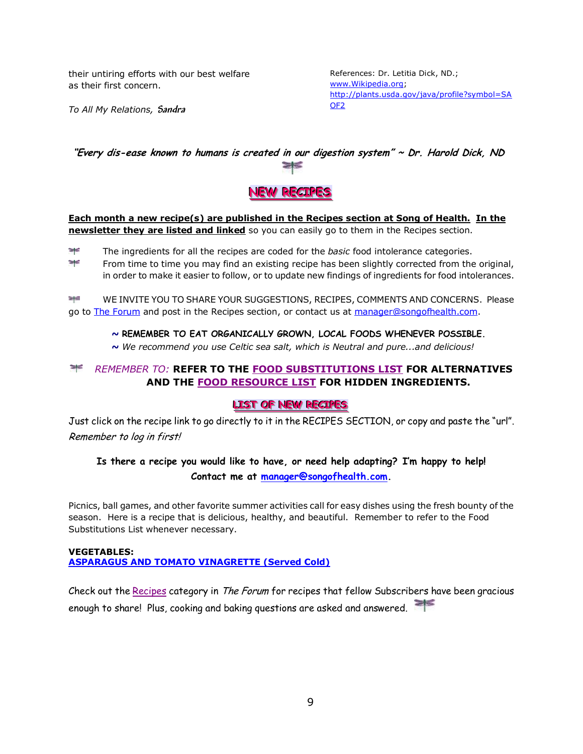their untiring efforts with our best welfare as their first concern.

References: Dr. Letitia Dick, ND.; [www.Wikipedia.org;](http://www.wikipedia.org/) [http://plants.usda.gov/java/profile?symbol=SA](http://plants.usda.gov/java/profile?symbol=SAOF2) [OF2](http://plants.usda.gov/java/profile?symbol=SAOF2)

*To All My Relations,* **Sandra**

# **"Every dis-ease known to humans is created in our digestion system" ~ Dr. Harold Dick, ND**



#### **Each month a new recipe(s) are published in the Recipes section at Song of Health. In the newsletter they are listed and linked** so you can easily go to them in the Recipes section.

 $\geq$ The ingredients for all the recipes are coded for the *basic* food intolerance categories.

 $\frac{1}{\sqrt{2}}$ From time to time you may find an existing recipe has been slightly corrected from the original, in order to make it easier to follow, or to update new findings of ingredients for food intolerances.

`a†d WE INVITE YOU TO SHARE YOUR SUGGESTIONS, RECIPES, COMMENTS AND CONCERNS. Please go to [The Forum](http://www.songofhealth.com/subscribers/forumintro.html) and post in the Recipes section, or contact us at [manager@songofhealth.com.](mailto:manager@songofhealth.com)

#### *~* **REMEMBER TO EAT ORGANICALLY GROWN, LOCAL FOODS WHENEVER POSSIBLE.**

*~ We recommend you use Celtic sea salt, which is Neutral and pure...and delicious!* 

#### *REMEMBER TO:* **REFER TO THE [FOOD SUBSTITUTIONS LIST](http://www.songofhealth.com/subscribers/foodresources/foodsub.html) FOR ALTERNATIVES AND THE [FOOD RESOURCE LIST](http://www.songofhealth.com/subscribers/foodresources/intro.html) FOR HIDDEN INGREDIENTS.**

#### **LIST OF NEW RECIPES**

Just click on the recipe link to go directly to it in the RECIPES SECTION, or copy and paste the "url". Remember to log in first!

#### **Is there a recipe you would like to have, or need help adapting? I'm happy to help! Contact me at [manager@songofhealth.com.](mailto:manager@songofhealth.com)**

Picnics, ball games, and other favorite summer activities call for easy dishes using the fresh bounty of the season. Here is a recipe that is delicious, healthy, and beautiful. Remember to refer to the Food Substitutions List whenever necessary.

#### **VEGETABLES: [ASPARAGUS AND TOMATO VINAGRETTE \(Served Cold\)](http://www.songofhealth.com/subscribers/recipes/vegetables.html#AsparagusAndTomato)**

Check out the [Recipes](http://www.songofhealth.com/cgi/forum/mf_browse.pl?Com=category&Category=a01xF166) category in The Forum for recipes that fellow Subscribers have been gracious enough to share! Plus, cooking and baking questions are asked and answered.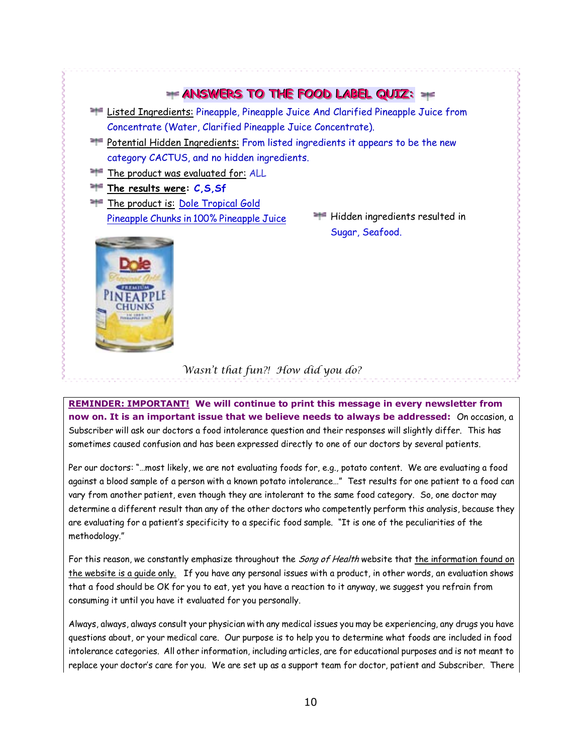

#### *Wasn't that fun?! How did you do?*

**REMINDER: IMPORTANT!** We will continue to print this message in every newsletter from **now on. It is an important issue that we believe needs to always be addressed:** On occasion, a Subscriber will ask our doctors a food intolerance question and their responses will slightly differ. This has sometimes caused confusion and has been expressed directly to one of our doctors by several patients.

Per our doctors: "…most likely, we are not evaluating foods for, e.g., potato content. We are evaluating a food against a blood sample of a person with a known potato intolerance…" Test results for one patient to a food can vary from another patient, even though they are intolerant to the same food category. So, one doctor may determine a different result than any of the other doctors who competently perform this analysis, because they are evaluating for a patient's specificity to a specific food sample. "It is one of the peculiarities of the methodology."

For this reason, we constantly emphasize throughout the Song of Health website that the information found on the website is a guide only. If you have any personal issues with a product, in other words, an evaluation shows that a food should be OK for you to eat, yet you have a reaction to it anyway, we suggest you refrain from consuming it until you have it evaluated for you personally.

Always, always, always consult your physician with any medical issues you may be experiencing, any drugs you have questions about, or your medical care. Our purpose is to help you to determine what foods are included in food intolerance categories. All other information, including articles, are for educational purposes and is not meant to replace your doctor's care for you. We are set up as a support team for doctor, patient and Subscriber. There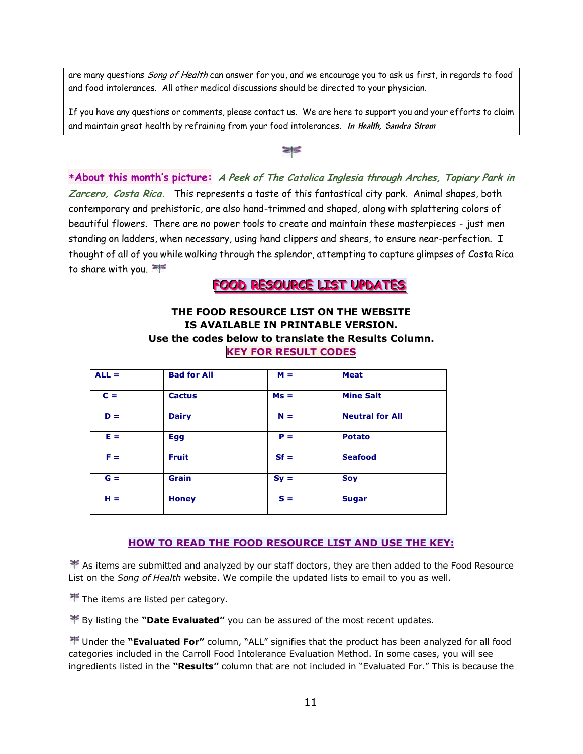are many questions *Song of Health* can answer for you, and we encourage you to ask us first, in regards to food and food intolerances. All other medical discussions should be directed to your physician.

If you have any questions or comments, please contact us. We are here to support you and your efforts to claim and maintain great health by refraining from your food intolerances. **In Health, Sandra Strom**

 $\geq$ 

**\*About this month's picture: A Peek of The Catolica Inglesia through Arches, Topiary Park in Zarcero, Costa Rica.** This represents a taste of this fantastical city park. Animal shapes, both contemporary and prehistoric, are also hand-trimmed and shaped, along with splattering colors of beautiful flowers. There are no power tools to create and maintain these masterpieces - just men standing on ladders, when necessary, using hand clippers and shears, to ensure near-perfection. I thought of all of you while walking through the splendor, attempting to capture glimpses of Costa Rica to share with you.

FOOD RESOURCE LIST UPDATES

#### **THE FOOD RESOURCE LIST ON THE WEBSITE IS AVAILABLE IN PRINTABLE VERSION. Use the codes below to translate the Results Column. KEY FOR RESULT CODES**

| $ALL =$ | <b>Bad for All</b> | $M =$  | <b>Meat</b>            |
|---------|--------------------|--------|------------------------|
| $C =$   | <b>Cactus</b>      | $Ms =$ | <b>Mine Salt</b>       |
| $D =$   | <b>Dairy</b>       | $N =$  | <b>Neutral for All</b> |
| $E =$   | <b>Egg</b>         | $P =$  | <b>Potato</b>          |
| $F =$   | <b>Fruit</b>       | $Sf =$ | <b>Seafood</b>         |
| $G =$   | <b>Grain</b>       | $Sy =$ | <b>Soy</b>             |
| $H =$   | <b>Honey</b>       | $S =$  | <b>Sugar</b>           |

#### **HOW TO READ THE FOOD RESOURCE LIST AND USE THE KEY:**

 $\blacktriangleright$  As items are submitted and analyzed by our staff doctors, they are then added to the Food Resource List on the *Song of Health* website. We compile the updated lists to email to you as well.

**The items are listed per category.** 

By listing the **"Date Evaluated"** you can be assured of the most recent updates.

 Under the **"Evaluated For"** column, "ALL" signifies that the product has been analyzed for all food categories included in the Carroll Food Intolerance Evaluation Method. In some cases, you will see ingredients listed in the **"Results"** column that are not included in "Evaluated For." This is because the